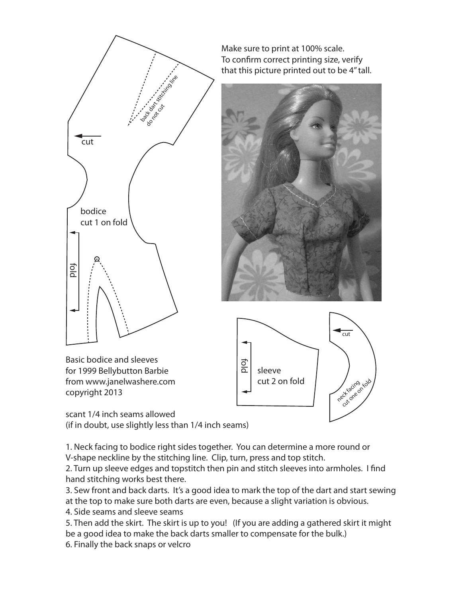

Make sure to print at 100% scale. To confirm correct printing size, verify that this picture printed out to be 4" tall.





scant 1/4 inch seams allowed (if in doubt, use slightly less than 1/4 inch seams)

1. Neck facing to bodice right sides together. You can determine a more round or V-shape neckline by the stitching line. Clip, turn, press and top stitch.

2. Turn up sleeve edges and topstitch then pin and stitch sleeves into armholes. I find hand stitching works best there.

3. Sew front and back darts. It's a good idea to mark the top of the dart and start sewing at the top to make sure both darts are even, because a slight variation is obvious.

4. Side seams and sleeve seams

Basic bodice and sleeves for 1999 Bellybutton Barbie from www.janelwashere.com

copyright 2013

5. Then add the skirt. The skirt is up to you! (If you are adding a gathered skirt it might be a good idea to make the back darts smaller to compensate for the bulk.) 6. Finally the back snaps or velcro